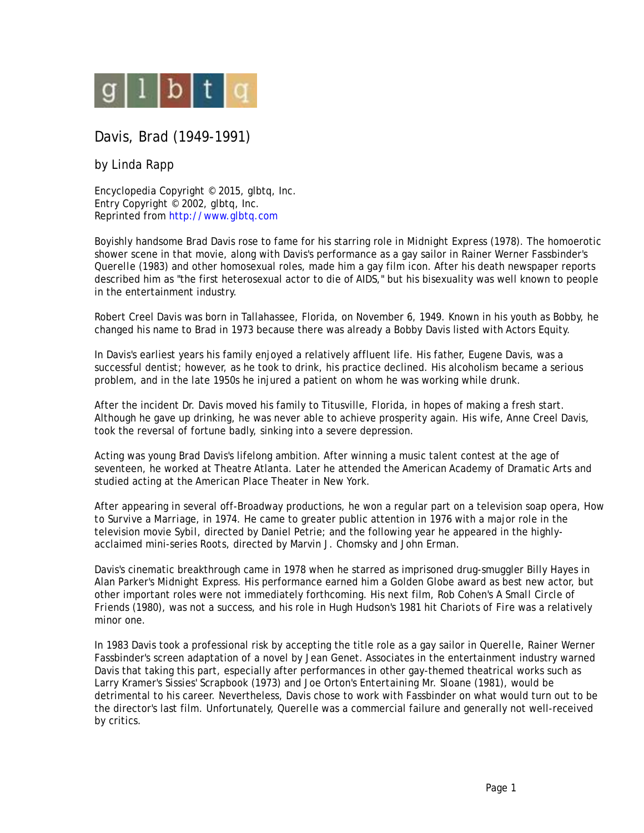

## Davis, Brad (1949-1991)

by Linda Rapp

Encyclopedia Copyright © 2015, glbtq, Inc. Entry Copyright © 2002, glbtq, Inc. Reprinted from<http://www.glbtq.com>

Boyishly handsome Brad Davis rose to fame for his starring role in *Midnight Express* (1978). The homoerotic shower scene in that movie, along with Davis's performance as a gay sailor in Rainer Werner Fassbinder's *Querelle* (1983) and other homosexual roles, made him a gay film icon. After his death newspaper reports described him as "the first heterosexual actor to die of AIDS," but his bisexuality was well known to people in the entertainment industry.

Robert Creel Davis was born in Tallahassee, Florida, on November 6, 1949. Known in his youth as Bobby, he changed his name to Brad in 1973 because there was already a Bobby Davis listed with Actors Equity.

In Davis's earliest years his family enjoyed a relatively affluent life. His father, Eugene Davis, was a successful dentist; however, as he took to drink, his practice declined. His alcoholism became a serious problem, and in the late 1950s he injured a patient on whom he was working while drunk.

After the incident Dr. Davis moved his family to Titusville, Florida, in hopes of making a fresh start. Although he gave up drinking, he was never able to achieve prosperity again. His wife, Anne Creel Davis, took the reversal of fortune badly, sinking into a severe depression.

Acting was young Brad Davis's lifelong ambition. After winning a music talent contest at the age of seventeen, he worked at Theatre Atlanta. Later he attended the American Academy of Dramatic Arts and studied acting at the American Place Theater in New York.

After appearing in several off-Broadway productions, he won a regular part on a television soap opera, *How to Survive a Marriage*, in 1974. He came to greater public attention in 1976 with a major role in the television movie *Sybil*, directed by Daniel Petrie; and the following year he appeared in the highlyacclaimed mini-series *Roots*, directed by Marvin J. Chomsky and John Erman.

Davis's cinematic breakthrough came in 1978 when he starred as imprisoned drug-smuggler Billy Hayes in Alan Parker's *Midnight Express*. His performance earned him a Golden Globe award as best new actor, but other important roles were not immediately forthcoming. His next film, Rob Cohen's *A Small Circle of Friends* (1980), was not a success, and his role in Hugh Hudson's 1981 hit *Chariots of Fire* was a relatively minor one.

In 1983 Davis took a professional risk by accepting the title role as a gay sailor in *Querelle*, Rainer Werner Fassbinder's screen adaptation of a novel by Jean Genet. Associates in the entertainment industry warned Davis that taking this part, especially after performances in other gay-themed theatrical works such as Larry Kramer's *Sissies' Scrapbook* (1973) and Joe Orton's *Entertaining Mr. Sloane* (1981), would be detrimental to his career. Nevertheless, Davis chose to work with Fassbinder on what would turn out to be the director's last film. Unfortunately, *Querelle* was a commercial failure and generally not well-received by critics.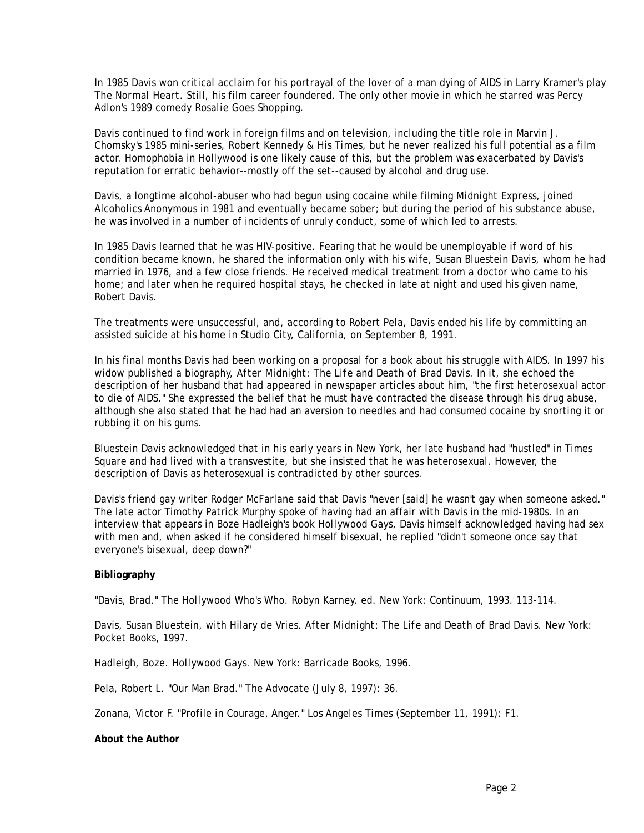In 1985 Davis won critical acclaim for his portrayal of the lover of a man dying of AIDS in Larry Kramer's play *The Normal Heart*. Still, his film career foundered. The only other movie in which he starred was Percy Adlon's 1989 comedy *Rosalie Goes Shopping*.

Davis continued to find work in foreign films and on television, including the title role in Marvin J. Chomsky's 1985 mini-series, *Robert Kennedy & His Times*, but he never realized his full potential as a film actor. Homophobia in Hollywood is one likely cause of this, but the problem was exacerbated by Davis's reputation for erratic behavior--mostly off the set--caused by alcohol and drug use.

Davis, a longtime alcohol-abuser who had begun using cocaine while filming *Midnight Express*, joined Alcoholics Anonymous in 1981 and eventually became sober; but during the period of his substance abuse, he was involved in a number of incidents of unruly conduct, some of which led to arrests.

In 1985 Davis learned that he was HIV-positive. Fearing that he would be unemployable if word of his condition became known, he shared the information only with his wife, Susan Bluestein Davis, whom he had married in 1976, and a few close friends. He received medical treatment from a doctor who came to his home; and later when he required hospital stays, he checked in late at night and used his given name, Robert Davis.

The treatments were unsuccessful, and, according to Robert Pela, Davis ended his life by committing an assisted suicide at his home in Studio City, California, on September 8, 1991.

In his final months Davis had been working on a proposal for a book about his struggle with AIDS. In 1997 his widow published a biography, *After Midnight: The Life and Death of Brad Davis*. In it, she echoed the description of her husband that had appeared in newspaper articles about him, "the first heterosexual actor to die of AIDS." She expressed the belief that he must have contracted the disease through his drug abuse, although she also stated that he had had an aversion to needles and had consumed cocaine by snorting it or rubbing it on his gums.

Bluestein Davis acknowledged that in his early years in New York, her late husband had "hustled" in Times Square and had lived with a transvestite, but she insisted that he was heterosexual. However, the description of Davis as heterosexual is contradicted by other sources.

Davis's friend gay writer Rodger McFarlane said that Davis "never [said] he wasn't gay when someone asked." The late actor Timothy Patrick Murphy spoke of having had an affair with Davis in the mid-1980s. In an interview that appears in Boze Hadleigh's book *Hollywood Gays*, Davis himself acknowledged having had sex with men and, when asked if he considered himself bisexual, he replied "didn't someone once say that everyone's bisexual, deep down?"

## **Bibliography**

"Davis, Brad." *The Hollywood Who's Who*. Robyn Karney, ed. New York: Continuum, 1993. 113-114.

Davis, Susan Bluestein, with Hilary de Vries. *After Midnight: The Life and Death of Brad Davis*. New York: Pocket Books, 1997.

Hadleigh, Boze. *Hollywood Gays*. New York: Barricade Books, 1996.

Pela, Robert L. "Our Man Brad." *The Advocate* (July 8, 1997): 36.

Zonana, Victor F. "Profile in Courage, Anger." *Los Angeles Times* (September 11, 1991): F1.

## **About the Author**